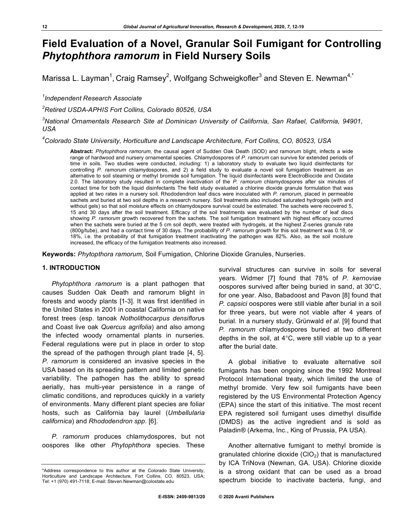# **Field Evaluation of a Novel, Granular Soil Fumigant for Controlling**  *Phytophthora ramorum* **in Field Nursery Soils**

Marissa L. Layman<sup>1</sup>, Craig Ramsey<sup>2</sup>, Wolfgang Schweigkofler<sup>3</sup> and Steven E. Newman<sup>4,\*</sup>

*1 Independent Research Associate*

*2 Retired USDA-APHIS Fort Collins, Colorado 80526, USA*

*3 National Ornamentals Research Site at Dominican University of California, San Rafael, California, 94901, USA*

*4 Colorado State University, Horticulture and Landscape Architecture, Fort Collins, CO, 80523, USA*

**Abstract:** *Phytophthora ramorum*, the causal agent of Sudden Oak Death (SOD) and ramorum blight, infects a wide range of hardwood and nursery ornamental species. Chlamydospores of *P. ramorum* can survive for extended periods of time in soils. Two studies were conducted, including: 1) a laboratory study to evaluate two liquid disinfectants for controlling *P. ramorum* chlamydospores, and 2) a field study to evaluate a novel soil fumigation treatment as an alternative to soil steaming or methyl bromide soil fumigation. The liquid disinfectants were ElectroBiocide and Oxidate 2.0. The laboratory study resulted in complete inactivation of the *P. ramorum* chlamydospores after six minutes of contact time for both the liquid disinfectants The field study evaluated a chlorine dioxide granule formulation that was applied at two rates in a nursery soil. Rhododendron leaf discs were inoculated with *P. ramorum*, placed in permeable sachets and buried at two soil depths in a research nursery. Soil treatments also included saturated hydrogels (with and without gels) so that soil moisture effects on chlamydospore survival could be estimated. The sachets were recovered 5, 15 and 30 days after the soil treatment. Efficacy of the soil treatments was evaluated by the number of leaf discs showing *P. ramorum* growth recovered from the sachets. The soil fumigation treatment with highest efficacy occurred when the sachets were buried at the 5 cm soil depth, were treated with hydrogels, at the highest Z-series granule rate (800g/tube), and had a contact time of 30 days. The probability of *P. ramorum* growth for this soil treatment was 0.18, or 18%, i.e. the probability of that fumigation treatment inactivating the pathogen was 82%. Also, as the soil moisture increased, the efficacy of the fumigation treatments also increased.

**Keywords:** *Phytopthora ramorum*, Soil Fumigation, Chlorine Dioxide Granules, Nurseries.

## **1. INTRODUCTION**

*Phytophthora ramorum* is a plant pathogen that causes Sudden Oak Death and ramorum blight in forests and woody plants [1-3]. It was first identified in the United States in 2001 in coastal California on native forest trees (esp. tanoak *Notholithocarpus densifloru*s and Coast live oak *Quercus agrifolia*) and also among the infected woody ornamental plants in nurseries. Federal regulations were put in place in order to stop the spread of the pathogen through plant trade [4, 5]. *P. ramorum* is considered an invasive species in the USA based on its spreading pattern and limited genetic variability. The pathogen has the ability to spread aerially, has multi-year persistence in a range of climatic conditions, and reproduces quickly in a variety of environments. Many different plant species are foliar hosts, such as California bay laurel (*Umbellularia californica*) and *Rhododendron spp*. [6].

*P. ramorum* produces chlamydospores, but not oospores like other *Phytophthora* species. These

survival structures can survive in soils for several years. Widmer [7] found that 78% of *P. kernovia*e oospores survived after being buried in sand, at 30°C, for one year. Also, Babadoost and Pavon [8] found that *P. capsici* oospores were still viable after burial in a soil for three years, but were not viable after 4 years of burial. In a nursery study, Grünwald *et al*. [9] found that *P. ramorum* chlamydospores buried at two different depths in the soil, at 4°C, were still viable up to a year after the burial date.

A global initiative to evaluate alternative soil fumigants has been ongoing since the 1992 Montreal Protocol International treaty, which limited the use of methyl bromide. Very few soil fumigants have been registered by the US Environmental Protection Agency (EPA) since the start of this initiative. The most recent EPA registered soil fumigant uses dimethyl disulfide (DMDS) as the active ingredient and is sold as Paladin® (Arkema, Inc., King of Prussia, PA USA).

Another alternative fumigant to methyl bromide is granulated chlorine dioxide  $(CIO<sub>2</sub>)$  that is manufactured by ICA TriNova (Newnan, GA. USA). Chlorine dioxide is a strong oxidant that can be used as a broad spectrum biocide to inactivate bacteria, fungi, and

<sup>\*</sup>Address correspondence to this author at the Colorado State University, Horticulture and Landscape Architecture, Fort Collins, CO, 80523, USA; Tel: +1 (970) 491-7118; E-mail: Steven.Newman@colostate.edu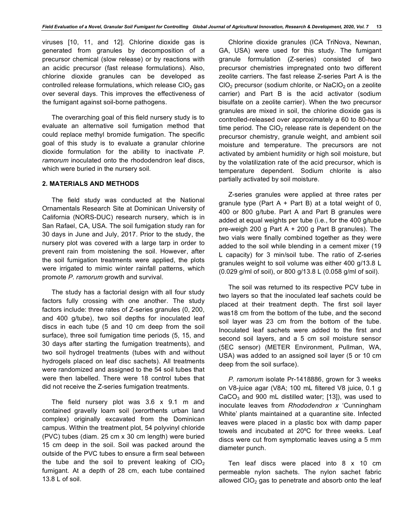viruses [10, 11, and 12]. Chlorine dioxide gas is generated from granules by decomposition of a precursor chemical (slow release) or by reactions with an acidic precursor (fast release formulations). Also, chlorine dioxide granules can be developed as controlled release formulations, which release  $ClO<sub>2</sub>$  gas over several days. This improves the effectiveness of the fumigant against soil-borne pathogens.

The overarching goal of this field nursery study is to evaluate an alternative soil fumigation method that could replace methyl bromide fumigation. The specific goal of this study is to evaluate a granular chlorine dioxide formulation for the ability to inactivate *P. ramorum* inoculated onto the rhododendron leaf discs, which were buried in the nursery soil.

## **2. MATERIALS AND METHODS**

The field study was conducted at the National Ornamentals Research Site at Dominican University of California (NORS-DUC) research nursery, which is in San Rafael, CA, USA. The soil fumigation study ran for 30 days in June and July, 2017. Prior to the study, the nursery plot was covered with a large tarp in order to prevent rain from moistening the soil. However, after the soil fumigation treatments were applied, the plots were irrigated to mimic winter rainfall patterns, which promote *P. ramorum* growth and survival.

The study has a factorial design with all four study factors fully crossing with one another. The study factors include: three rates of Z-series granules (0, 200, and 400 g/tube), two soil depths for inoculated leaf discs in each tube (5 and 10 cm deep from the soil surface), three soil fumigation time periods (5, 15, and 30 days after starting the fumigation treatments), and two soil hydrogel treatments (tubes with and without hydrogels placed on leaf disc sachets). All treatments were randomized and assigned to the 54 soil tubes that were then labelled. There were 18 control tubes that did not receive the Z-series fumigation treatments.

The field nursery plot was 3.6 x 9.1 m and contained gravelly loam soil (xerorthents urban land complex) originally excavated from the Dominican campus. Within the treatment plot, 54 polyvinyl chloride (PVC) tubes (diam. 25 cm x 30 cm length) were buried 15 cm deep in the soil. Soil was packed around the outside of the PVC tubes to ensure a firm seal between the tube and the soil to prevent leaking of  $ClO<sub>2</sub>$ fumigant. At a depth of 28 cm, each tube contained 13.8 L of soil.

Chlorine dioxide granules (ICA TriNova, Newnan, GA, USA) were used for this study. The fumigant granule formulation (Z-series) consisted of two precursor chemistries impregnated onto two different zeolite carriers. The fast release Z-series Part A is the  $ClO<sub>2</sub>$  precursor (sodium chlorite, or NaClO<sub>2</sub> on a zeolite carrier) and Part B is the acid activator (sodium bisulfate on a zeolite carrier). When the two precursor granules are mixed in soil, the chlorine dioxide gas is controlled-released over approximately a 60 to 80-hour time period. The  $ClO<sub>2</sub>$  release rate is dependent on the precursor chemistry, granule weight, and ambient soil moisture and temperature. The precursors are not activated by ambient humidity or high soil moisture, but by the volatilization rate of the acid precursor, which is temperature dependent. Sodium chlorite is also partially activated by soil moisture.

Z-series granules were applied at three rates per granule type (Part  $A + Part B$ ) at a total weight of 0, 400 or 800 g/tube. Part A and Part B granules were added at equal weights per tube (i.e., for the 400 g/tube pre-weigh 200 g Part A + 200 g Part B granules). The two vials were finally combined together as they were added to the soil while blending in a cement mixer (19 L capacity) for 3 min/soil tube. The ratio of Z-series granules weight to soil volume was either 400 g/13.8 L (0.029 g/ml of soil), or 800 g/13.8 L (0.058 g/ml of soil).

The soil was returned to its respective PCV tube in two layers so that the inoculated leaf sachets could be placed at their treatment depth. The first soil layer was18 cm from the bottom of the tube, and the second soil layer was 23 cm from the bottom of the tube. Inoculated leaf sachets were added to the first and second soil layers, and a 5 cm soil moisture sensor (5EC sensor) (METER Environment, Pullman, WA, USA) was added to an assigned soil layer (5 or 10 cm deep from the soil surface).

*P. ramorum* isolate Pr-1418886, grown for 3 weeks on V8-juice agar (V8A; 100 mL filtered V8 juice, 0.1 g  $CaCO<sub>3</sub>$  and 900 mL distilled water; [13]), was used to inoculate leaves from *Rhododendron x* 'Cunningham White' plants maintained at a quarantine site. Infected leaves were placed in a plastic box with damp paper towels and incubated at 20ºC for three weeks. Leaf discs were cut from symptomatic leaves using a 5 mm diameter punch.

Ten leaf discs were placed into 8 x 10 cm permeable nylon sachets. The nylon sachet fabric allowed  $ClO<sub>2</sub>$  gas to penetrate and absorb onto the leaf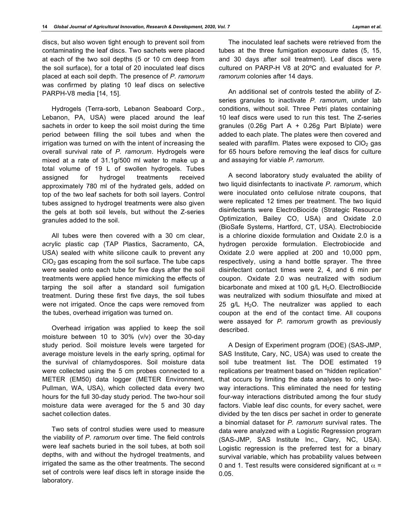discs, but also woven tight enough to prevent soil from contaminating the leaf discs. Two sachets were placed at each of the two soil depths (5 or 10 cm deep from the soil surface), for a total of 20 inoculated leaf discs placed at each soil depth. The presence of *P. ramorum*  was confirmed by plating 10 leaf discs on selective PARPH-V8 media [14, 15].

Hydrogels (Terra-sorb, Lebanon Seaboard Corp., Lebanon, PA, USA) were placed around the leaf sachets in order to keep the soil moist during the time period between filling the soil tubes and when the irrigation was turned on with the intent of increasing the overall survival rate of *P. ramorum*. Hydrogels were mixed at a rate of 31.1g/500 ml water to make up a total volume of 19 L of swollen hydrogels. Tubes assigned for hydrogel treatments received approximately 780 ml of the hydrated gels, added on top of the two leaf sachets for both soil layers. Control tubes assigned to hydrogel treatments were also given the gels at both soil levels, but without the Z-series granules added to the soil.

All tubes were then covered with a 30 cm clear, acrylic plastic cap (TAP Plastics, Sacramento, CA, USA) sealed with white silicone caulk to prevent any  $ClO<sub>2</sub>$  gas escaping from the soil surface. The tube caps were sealed onto each tube for five days after the soil treatments were applied hence mimicking the effects of tarping the soil after a standard soil fumigation treatment. During these first five days, the soil tubes were not irrigated. Once the caps were removed from the tubes, overhead irrigation was turned on.

Overhead irrigation was applied to keep the soil moisture between 10 to 30% (v/v) over the 30-day study period. Soil moisture levels were targeted for average moisture levels in the early spring, optimal for the survival of chlamydospores. Soil moisture data were collected using the 5 cm probes connected to a METER (EM50) data logger (METER Environment, Pullman, WA, USA), which collected data every two hours for the full 30-day study period. The two-hour soil moisture data were averaged for the 5 and 30 day sachet collection dates.

Two sets of control studies were used to measure the viability of *P. ramorum* over time. The field controls were leaf sachets buried in the soil tubes, at both soil depths, with and without the hydrogel treatments, and irrigated the same as the other treatments. The second set of controls were leaf discs left in storage inside the laboratory.

The inoculated leaf sachets were retrieved from the tubes at the three fumigation exposure dates (5, 15, and 30 days after soil treatment). Leaf discs were cultured on PARP-H V8 at 20ºC and evaluated for *P. ramorum* colonies after 14 days.

An additional set of controls tested the ability of Zseries granules to inactivate *P. ramorum*, under lab conditions, without soil. Three Petri plates containing 10 leaf discs were used to run this test. The Z-series granules (0.26g Part A + 0.26g Part B/plate) were added to each plate. The plates were then covered and sealed with parafilm. Plates were exposed to  $ClO<sub>2</sub>$  gas for 65 hours before removing the leaf discs for culture and assaying for viable *P. ramorum*.

A second laboratory study evaluated the ability of two liquid disinfectants to inactivate *P. ramorum*, which were inoculated onto cellulose nitrate coupons, that were replicated 12 times per treatment. The two liquid disinfectants were ElectroBiocide (Strategic Resource Optimization, Bailey CO, USA) and Oxidate 2.0 (BioSafe Systems, Hartford, CT, USA). Electrobiocide is a chlorine dioxide formulation and Oxidate 2.0 is a hydrogen peroxide formulation. Electrobiocide and Oxidate 2.0 were applied at 200 and 10,000 ppm, respectively, using a hand bottle sprayer. The three disinfectant contact times were 2, 4, and 6 min per coupon. Oxidate 2.0 was neutralized with sodium bicarbonate and mixed at 100  $g/L$  H<sub>2</sub>O. ElectroBiocide was neutralized with sodium thiosulfate and mixed at 25 g/L  $H_2O$ . The neutralizer was applied to each coupon at the end of the contact time. All coupons were assayed for *P. ramorum* growth as previously described.

A Design of Experiment program (DOE) (SAS-JMP, SAS Institute, Cary, NC, USA) was used to create the soil tube treatment list. The DOE estimated 19 replications per treatment based on "hidden replication" that occurs by limiting the data analyses to only twoway interactions. This eliminated the need for testing four-way interactions distributed among the four study factors. Viable leaf disc counts, for every sachet, were divided by the ten discs per sachet in order to generate a binomial dataset for *P. ramorum* survival rates. The data were analyzed with a Logistic Regression program (SAS-JMP, SAS Institute Inc., Clary, NC, USA). Logistic regression is the preferred test for a binary survival variable, which has probability values between 0 and 1. Test results were considered significant at  $\alpha$  = 0.05.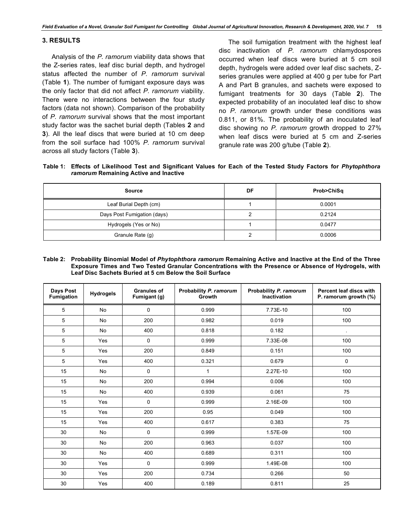# **3. RESULTS**

Analysis of the *P. ramorum* viability data shows that the Z-series rates, leaf disc burial depth, and hydrogel status affected the number of *P. ramorum* survival (Table **1**). The number of fumigant exposure days was the only factor that did not affect *P. ramorum* viability. There were no interactions between the four study factors (data not shown). Comparison of the probability of *P. ramorum* survival shows that the most important study factor was the sachet burial depth (Tables **2** and **3**). All the leaf discs that were buried at 10 cm deep from the soil surface had 100% *P. ramorum* survival across all study factors (Table **3**).

The soil fumigation treatment with the highest leaf disc inactivation of *P. ramorum* chlamydospores occurred when leaf discs were buried at 5 cm soil depth, hydrogels were added over leaf disc sachets, Zseries granules were applied at 400 g per tube for Part A and Part B granules, and sachets were exposed to fumigant treatments for 30 days (Table **2**). The expected probability of an inoculated leaf disc to show no *P. ramorum* growth under these conditions was 0.811, or 81%. The probability of an inoculated leaf disc showing no *P. ramorum* growth dropped to 27% when leaf discs were buried at 5 cm and Z-series granule rate was 200 g/tube (Table **2**).

**Table 1: Effects of Likelihood Test and Significant Values for Each of the Tested Study Factors for** *Phytophthora ramorum* **Remaining Active and Inactive**

| Source                      | DF | Prob>ChiSq |
|-----------------------------|----|------------|
| Leaf Burial Depth (cm)      |    | 0.0001     |
| Days Post Fumigation (days) |    | 0.2124     |
| Hydrogels (Yes or No)       |    | 0.0477     |
| Granule Rate (g)            |    | 0.0006     |

**Table 2: Probability Binomial Model of** *Phytophthora ramorum* **Remaining Active and Inactive at the End of the Three Exposure Times and Two Tested Granular Concentrations with the Presence or Absence of Hydrogels, with Leaf Disc Sachets Buried at 5 cm Below the Soil Surface**

| Days Post<br>Fumigation | <b>Hydrogels</b> | <b>Granules of</b><br>Fumigant (g) | Probability P. ramorum<br>Growth | Probability P. ramorum<br><b>Inactivation</b> | Percent leaf discs with<br>P. ramorum growth (%) |
|-------------------------|------------------|------------------------------------|----------------------------------|-----------------------------------------------|--------------------------------------------------|
| 5                       | <b>No</b>        | 0                                  | 0.999                            | 7.73E-10                                      | 100                                              |
| 5                       | <b>No</b>        | 200                                | 0.982                            | 0.019                                         | 100                                              |
| 5                       | <b>No</b>        | 400                                | 0.818                            | 0.182                                         |                                                  |
| 5                       | Yes              | 0                                  | 0.999                            | 7.33E-08                                      | 100                                              |
| 5                       | Yes              | 200                                | 0.849                            | 0.151                                         | 100                                              |
| 5                       | Yes              | 400                                | 0.321                            | 0.679                                         | 0                                                |
| 15                      | <b>No</b>        | 0                                  | 1                                | 2.27E-10                                      | 100                                              |
| 15                      | <b>No</b>        | 200                                | 0.994                            | 0.006                                         | 100                                              |
| 15                      | <b>No</b>        | 400                                | 0.939                            | 0.061                                         | 75                                               |
| 15                      | Yes              | 0                                  | 0.999                            | 2.16E-09                                      | 100                                              |
| 15                      | Yes              | 200                                | 0.95                             | 0.049                                         | 100                                              |
| 15                      | Yes              | 400                                | 0.617                            | 0.383                                         | 75                                               |
| 30                      | No               | 0                                  | 0.999                            | 1.57E-09                                      | 100                                              |
| 30                      | <b>No</b>        | 200                                | 0.963                            | 0.037                                         | 100                                              |
| 30                      | <b>No</b>        | 400                                | 0.689                            | 0.311                                         | 100                                              |
| 30                      | Yes              | 0                                  | 0.999                            | 1.49E-08                                      | 100                                              |
| 30                      | Yes              | 200                                | 0.734                            | 0.266                                         | 50                                               |
| 30                      | Yes              | 400                                | 0.189                            | 0.811                                         | 25                                               |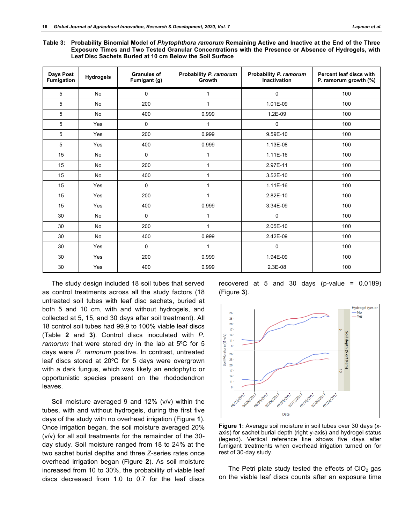**Table 3: Probability Binomial Model of** *Phytophthora ramorum* **Remaining Active and Inactive at the End of the Three Exposure Times and Two Tested Granular Concentrations with the Presence or Absence of Hydrogels, with Leaf Disc Sachets Buried at 10 cm Below the Soil Surface**

| Days Post<br><b>Fumigation</b> | <b>Hydrogels</b> | <b>Granules of</b><br>Fumigant (g) | Probability P. ramorum<br>Growth | Probability P. ramorum<br><b>Inactivation</b> | Percent leaf discs with<br>P. ramorum growth (%) |
|--------------------------------|------------------|------------------------------------|----------------------------------|-----------------------------------------------|--------------------------------------------------|
| 5                              | <b>No</b>        | 0                                  | 1                                | 0                                             | 100                                              |
| 5                              | <b>No</b>        | 200                                | 1                                | 1.01E-09                                      | 100                                              |
| 5                              | No               | 400                                | 0.999                            | 1.2E-09                                       | 100                                              |
| 5                              | Yes              | 0                                  | 1                                | $\mathbf 0$                                   | 100                                              |
| 5                              | Yes              | 200                                | 0.999                            | 9.59E-10                                      | 100                                              |
| 5                              | Yes              | 400                                | 0.999                            | 1.13E-08                                      | 100                                              |
| 15                             | No               | 0                                  | 1                                | 1.11E-16                                      | 100                                              |
| 15                             | <b>No</b>        | 200                                | 1                                | 2.97E-11                                      | 100                                              |
| 15                             | <b>No</b>        | 400                                | 1                                | 3.52E-10                                      | 100                                              |
| 15                             | Yes              | 0                                  | 1                                | 1.11E-16                                      | 100                                              |
| 15                             | Yes              | 200                                | 1                                | 2.82E-10                                      | 100                                              |
| 15                             | Yes              | 400                                | 0.999                            | 3.34E-09                                      | 100                                              |
| 30                             | <b>No</b>        | $\mathbf 0$                        | $\mathbf{1}$                     | $\mathbf 0$                                   | 100                                              |
| 30                             | <b>No</b>        | 200                                | $\mathbf{1}$                     | 2.05E-10                                      | 100                                              |
| 30                             | <b>No</b>        | 400                                | 0.999                            | 2.42E-09                                      | 100                                              |
| 30                             | Yes              | 0                                  | 1                                | $\mathbf 0$                                   | 100                                              |
| 30                             | Yes              | 200                                | 0.999                            | 1.94E-09                                      | 100                                              |
| 30                             | Yes              | 400                                | 0.999                            | 2.3E-08                                       | 100                                              |

The study design included 18 soil tubes that served as control treatments across all the study factors (18 untreated soil tubes with leaf disc sachets, buried at both 5 and 10 cm, with and without hydrogels, and collected at 5, 15, and 30 days after soil treatment). All 18 control soil tubes had 99.9 to 100% viable leaf discs (Table **2** and **3**). Control discs inoculated with *P. ramorum* that were stored dry in the lab at 5ºC for 5 days were *P. ramorum* positive. In contrast, untreated leaf discs stored at 20ºC for 5 days were overgrown with a dark fungus, which was likely an endophytic or opportunistic species present on the rhododendron leaves.

Soil moisture averaged 9 and 12% (v/v) within the tubes, with and without hydrogels, during the first five days of the study with no overhead irrigation (Figure **1**). Once irrigation began, the soil moisture averaged 20% (v/v) for all soil treatments for the remainder of the 30 day study. Soil moisture ranged from 18 to 24% at the two sachet burial depths and three Z-series rates once overhead irrigation began (Figure **2**). As soil moisture increased from 10 to 30%, the probability of viable leaf discs decreased from 1.0 to 0.7 for the leaf discs





**Figure 1:** Average soil moisture in soil tubes over 30 days (xaxis) for sachet burial depth (right y-axis) and hydrogel status (legend). Vertical reference line shows five days after fumigant treatments when overhead irrigation turned on for rest of 30-day study.

The Petri plate study tested the effects of  $ClO<sub>2</sub>$  gas on the viable leaf discs counts after an exposure time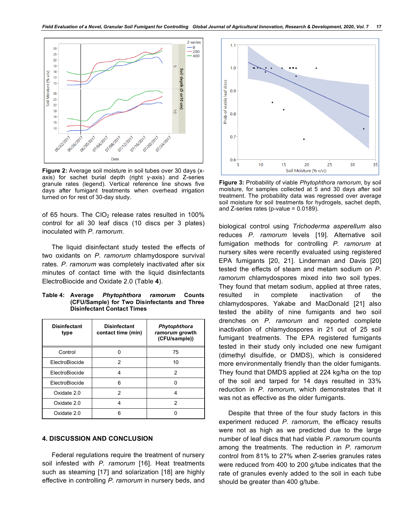

**Figure 2:** Average soil moisture in soil tubes over 30 days (xaxis) for sachet burial depth (right y-axis) and Z-series granule rates (legend). Vertical reference line shows five days after fumigant treatments when overhead irrigation turned on for rest of 30-day study.

of 65 hours. The CIO<sub>2</sub> release rates resulted in 100% control for all 30 leaf discs (10 discs per 3 plates) inoculated with *P. ramorum*.

The liquid disinfectant study tested the effects of two oxidants on *P. ramorum* chlamydospore survival rates. *P. ramorum* was completely inactivated after six minutes of contact time with the liquid disinfectants ElectroBiocide and Oxidate 2.0 (Table **4**).

**Table 4: Average** *Phytophthora ramorum* **Counts (CFU/Sample) for Two Disinfectants and Three Disinfectant Contact Times**

| <b>Disinfectant</b><br>type | <b>Disinfectant</b><br>contact time (min) | Phytophthora<br>ramorum growth<br>(CFU/sample)) |
|-----------------------------|-------------------------------------------|-------------------------------------------------|
| Control                     | n                                         | 75                                              |
| ElectroBiocide              | 2                                         | 10                                              |
| ElectroBiocide              | 4                                         | 2                                               |
| ElectroBiocide              | 6                                         |                                                 |
| Oxidate 2.0                 | 2                                         | Δ                                               |
| Oxidate 2.0                 | ⊿                                         | 2                                               |
| Oxidate 2.0                 | ่ค                                        |                                                 |

## **4. DISCUSSION AND CONCLUSION**

Federal regulations require the treatment of nursery soil infested with *P. ramorum* [16]. Heat treatments such as steaming [17] and solarization [18] are highly effective in controlling *P. ramorum* in nursery beds, and



**Figure 3:** Probability of viable *Phytophthora ramorum*, by soil moisture, for samples collected at 5 and 30 days after soil treatment. The probability data was regressed over average soil moisture for soil treatments for hydrogels, sachet depth, and Z-series rates (p-value = 0.0189).

biological control using *Trichoderma asperellum* also reduces *P. ramorum* levels [19]. Alternative soil fumigation methods for controlling *P. ramorum* at nursery sites were recently evaluated using registered EPA fumigants [20, 21]. Linderman and Davis [20] tested the effects of steam and metam sodium on *P. ramorum* chlamydospores mixed into two soil types. They found that metam sodium, applied at three rates, resulted in complete inactivation of the chlamydospores. Yakabe and MacDonald [21] also tested the ability of nine fumigants and two soil drenches on *P. ramorum* and reported complete inactivation of chlamydospores in 21 out of 25 soil fumigant treatments. The EPA registered fumigants tested in their study only included one new fumigant (dimethyl disulfide, or DMDS), which is considered more environmentally friendly than the older fumigants. They found that DMDS applied at 224 kg/ha on the top of the soil and tarped for 14 days resulted in 33% reduction in *P. ramorum*, which demonstrates that it was not as effective as the older fumigants.

Despite that three of the four study factors in this experiment reduced *P. ramorum*, the efficacy results were not as high as we predicted due to the large number of leaf discs that had viable *P. ramorum* counts among the treatments. The reduction in *P. ramorum* control from 81% to 27% when Z-series granules rates were reduced from 400 to 200 g/tube indicates that the rate of granules evenly added to the soil in each tube should be greater than 400 g/tube.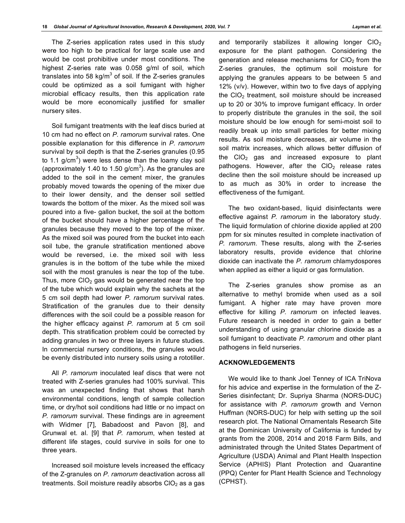The Z-series application rates used in this study were too high to be practical for large scale use and would be cost prohibitive under most conditions. The highest Z-series rate was 0.058 g/ml of soil, which translates into 58 kg/m $3$  of soil. If the Z-series granules could be optimized as a soil fumigant with higher microbial efficacy results, then this application rate would be more economically justified for smaller nursery sites.

Soil fumigant treatments with the leaf discs buried at 10 cm had no effect on *P. ramorum* survival rates. One possible explanation for this difference in *P. ramorum* survival by soil depth is that the Z-series granules (0.95 to 1.1 g/cm $3$ ) were less dense than the loamy clay soil (approximately 1.40 to 1.50 g/cm<sup>3</sup>). As the granules are added to the soil in the cement mixer, the granules probably moved towards the opening of the mixer due to their lower density, and the denser soil settled towards the bottom of the mixer. As the mixed soil was poured into a five- gallon bucket, the soil at the bottom of the bucket should have a higher percentage of the granules because they moved to the top of the mixer. As the mixed soil was poured from the bucket into each soil tube, the granule stratification mentioned above would be reversed, i.e. the mixed soil with less granules is in the bottom of the tube while the mixed soil with the most granules is near the top of the tube. Thus, more  $ClO<sub>2</sub>$  gas would be generated near the top of the tube which would explain why the sachets at the 5 cm soil depth had lower *P. ramorum* survival rates*.* Stratification of the granules due to their density differences with the soil could be a possible reason for the higher efficacy against *P. ramorum* at 5 cm soil depth. This stratification problem could be corrected by adding granules in two or three layers in future studies. In commercial nursery conditions, the granules would be evenly distributed into nursery soils using a rototiller.

All *P. ramorum* inoculated leaf discs that were not treated with Z-series granules had 100% survival. This was an unexpected finding that shows that harsh environmental conditions, length of sample collection time, or dry/hot soil conditions had little or no impact on *P. ramorum* survival. These findings are in agreement with Widmer [7], Babadoost and Pavon [8], and Grunwal et. al. [9] that *P. ramorum*, when tested at different life stages, could survive in soils for one to three years.

Increased soil moisture levels increased the efficacy of the Z-granules on *P. ramorum* deactivation across all treatments. Soil moisture readily absorbs  $ClO<sub>2</sub>$  as a gas

and temporarily stabilizes it allowing longer  $ClO<sub>2</sub>$ exposure for the plant pathogen. Considering the generation and release mechanisms for  $ClO<sub>2</sub>$  from the Z-series granules, the optimum soil moisture for applying the granules appears to be between 5 and 12% (v/v). However, within two to five days of applying the  $ClO<sub>2</sub>$  treatment, soil moisture should be increased up to 20 or 30% to improve fumigant efficacy. In order to properly distribute the granules in the soil, the soil moisture should be low enough for semi-moist soil to readily break up into small particles for better mixing results. As soil moisture decreases, air volume in the soil matrix increases, which allows better diffusion of the  $ClO<sub>2</sub>$  gas and increased exposure to plant pathogens. However, after the  $ClO<sub>2</sub>$  release rates decline then the soil moisture should be increased up to as much as 30% in order to increase the effectiveness of the fumigant.

The two oxidant-based, liquid disinfectants were effective against *P. ramorum* in the laboratory study. The liquid formulation of chlorine dioxide applied at 200 ppm for six minutes resulted in complete inactivation of *P. ramorum*. These results, along with the Z-series laboratory results, provide evidence that chlorine dioxide can inactivate the *P. ramorum* chlamydospores when applied as either a liquid or gas formulation.

The Z-series granules show promise as an alternative to methyl bromide when used as a soil fumigant. A higher rate may have proven more effective for killing *P. ramorum* on infected leaves. Future research is needed in order to gain a better understanding of using granular chlorine dioxide as a soil fumigant to deactivate *P. ramorum* and other plant pathogens in field nurseries.

# **ACKNOWLEDGEMENTS**

We would like to thank Joel Tenney of ICA TriNova for his advice and expertise in the formulation of the Z-Series disinfectant; Dr. Supriya Sharma (NORS-DUC) for assistance with *P. ramorum* growth and Vernon Huffman (NORS-DUC) for help with setting up the soil research plot. The National Ornamentals Research Site at the Dominican University of California is funded by grants from the 2008, 2014 and 2018 Farm Bills, and administrated through the United States Department of Agriculture (USDA) Animal and Plant Health Inspection Service (APHIS) Plant Protection and Quarantine (PPQ) Center for Plant Health Science and Technology (CPHST).